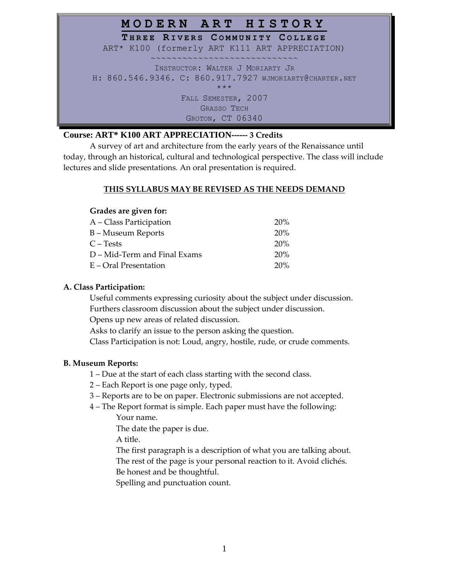| MODERN ART HISTORY                                      |
|---------------------------------------------------------|
| THREE RIVERS COMMUNITY COLLEGE                          |
| ART* K100 (formerly ART K111 ART APPRECIATION)          |
|                                                         |
| INSTRUCTOR: WALTER J MORIARTY JR                        |
| H: 860.546.9346. C: 860.917.7927 WJMORIARTY@CHARTER.NET |
| $***$                                                   |
| FALL SEMESTER, 2007                                     |
| <b>GRASSO TECH</b>                                      |
| GROTON, CT 06340                                        |

## **Course: ART\* K100 ART APPRECIATION------ 3 Credits**

A survey of art and architecture from the early years of the Renaissance until today, through an historical, cultural and technological perspective. The class will include lectures and slide presentations. An oral presentation is required.

## **THIS SYLLABUS MAY BE REVISED AS THE NEEDS DEMAND**

## **Grades are given for:**

| A – Class Participation      | 20% |
|------------------------------|-----|
| B – Museum Reports           | 20% |
| C – Tests                    | 20% |
| D – Mid-Term and Final Exams | 20% |
| E – Oral Presentation        | 20% |

## **A. Class Participation:**

Useful comments expressing curiosity about the subject under discussion. Furthers classroom discussion about the subject under discussion.

Opens up new areas of related discussion.

Asks to clarify an issue to the person asking the question.

Class Participation is not: Loud, angry, hostile, rude, or crude comments.

### **B. Museum Reports:**

- 1 Due at the start of each class starting with the second class.
- 2 Each Report is one page only, typed.
- 3 Reports are to be on paper. Electronic submissions are not accepted.
- 4 The Report format is simple. Each paper must have the following:

Your name.

The date the paper is due.

A title.

The first paragraph is a description of what you are talking about. The rest of the page is your personal reaction to it. Avoid clichés. Be honest and be thoughtful.

Spelling and punctuation count.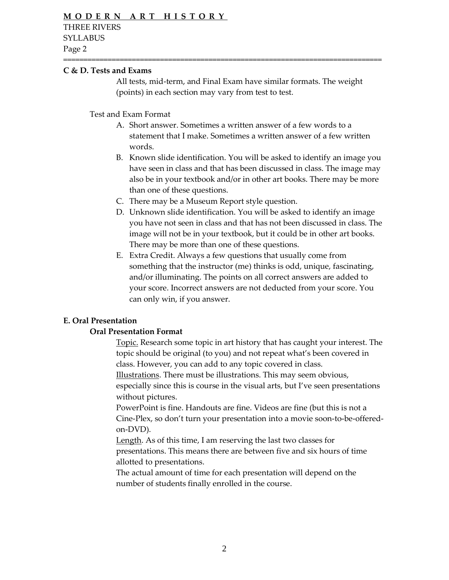### **C & D. Tests and Exams**

All tests, mid-term, and Final Exam have similar formats. The weight (points) in each section may vary from test to test.

===============================================================================

Test and Exam Format

- A. Short answer. Sometimes a written answer of a few words to a statement that I make. Sometimes a written answer of a few written words.
- B. Known slide identification. You will be asked to identify an image you have seen in class and that has been discussed in class. The image may also be in your textbook and/or in other art books. There may be more than one of these questions.
- C. There may be a Museum Report style question.
- D. Unknown slide identification. You will be asked to identify an image you have not seen in class and that has not been discussed in class. The image will not be in your textbook, but it could be in other art books. There may be more than one of these questions.
- E. Extra Credit. Always a few questions that usually come from something that the instructor (me) thinks is odd, unique, fascinating, and/or illuminating. The points on all correct answers are added to your score. Incorrect answers are not deducted from your score. You can only win, if you answer.

### **E. Oral Presentation**

#### **Oral Presentation Format**

Topic. Research some topic in art history that has caught your interest. The topic should be original (to you) and not repeat what's been covered in class. However, you can add to any topic covered in class.

Illustrations. There must be illustrations. This may seem obvious, especially since this is course in the visual arts, but I've seen presentations without pictures.

PowerPoint is fine. Handouts are fine. Videos are fine (but this is not a Cine-Plex, so don't turn your presentation into a movie soon-to-be-offeredon-DVD).

Length. As of this time, I am reserving the last two classes for presentations. This means there are between five and six hours of time allotted to presentations.

The actual amount of time for each presentation will depend on the number of students finally enrolled in the course.